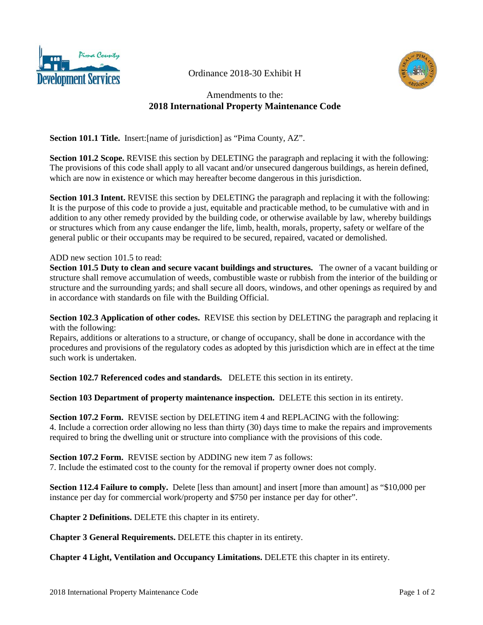

Ordinance 2018-30 Exhibit H



## Amendments to the: **2018 International Property Maintenance Code**

**Section 101.1 Title.** Insert:[name of jurisdiction] as "Pima County, AZ".

**Section 101.2 Scope.** REVISE this section by DELETING the paragraph and replacing it with the following: The provisions of this code shall apply to all vacant and/or unsecured dangerous buildings, as herein defined, which are now in existence or which may hereafter become dangerous in this jurisdiction.

**Section 101.3 Intent.** REVISE this section by DELETING the paragraph and replacing it with the following: It is the purpose of this code to provide a just, equitable and practicable method, to be cumulative with and in addition to any other remedy provided by the building code, or otherwise available by law, whereby buildings or structures which from any cause endanger the life, limb, health, morals, property, safety or welfare of the general public or their occupants may be required to be secured, repaired, vacated or demolished.

## ADD new section 101.5 to read:

**Section 101.5 Duty to clean and secure vacant buildings and structures.** The owner of a vacant building or structure shall remove accumulation of weeds, combustible waste or rubbish from the interior of the building or structure and the surrounding yards; and shall secure all doors, windows, and other openings as required by and in accordance with standards on file with the Building Official.

**Section 102.3 Application of other codes.** REVISE this section by DELETING the paragraph and replacing it with the following:

Repairs, additions or alterations to a structure, or change of occupancy, shall be done in accordance with the procedures and provisions of the regulatory codes as adopted by this jurisdiction which are in effect at the time such work is undertaken.

**Section 102.7 Referenced codes and standards.** DELETE this section in its entirety.

**Section 103 Department of property maintenance inspection.** DELETE this section in its entirety.

**Section 107.2 Form.** REVISE section by DELETING item 4 and REPLACING with the following: 4. Include a correction order allowing no less than thirty (30) days time to make the repairs and improvements required to bring the dwelling unit or structure into compliance with the provisions of this code.

**Section 107.2 Form.** REVISE section by ADDING new item 7 as follows: 7. Include the estimated cost to the county for the removal if property owner does not comply.

**Section 112.4 Failure to comply.** Delete [less than amount] and insert [more than amount] as "\$10,000 per instance per day for commercial work/property and \$750 per instance per day for other".

**Chapter 2 Definitions.** DELETE this chapter in its entirety.

**Chapter 3 General Requirements.** DELETE this chapter in its entirety.

**Chapter 4 Light, Ventilation and Occupancy Limitations.** DELETE this chapter in its entirety.